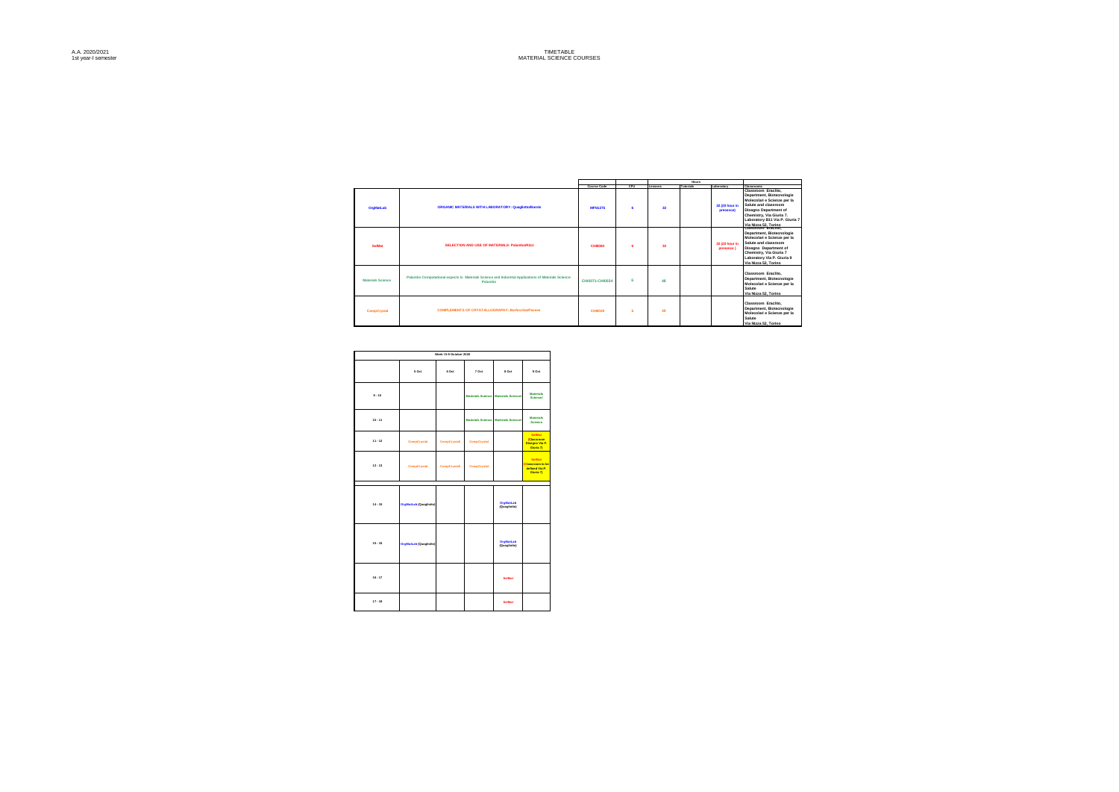|                   |                                                                                                                 |                    |      |                 | <b>Hours</b>     |                              |                                                                                                                                                                                                                        |
|-------------------|-----------------------------------------------------------------------------------------------------------------|--------------------|------|-----------------|------------------|------------------------------|------------------------------------------------------------------------------------------------------------------------------------------------------------------------------------------------------------------------|
|                   |                                                                                                                 | <b>Course Code</b> | CFIL | Lessons         | <b>Tutorials</b> | Laboratory                   | Classrooms                                                                                                                                                                                                             |
| <b>OrgMatLab</b>  | ORGANIC MATERIALS WITH LABORATORY: Quagliotto/Barolo                                                            | <b>MFN1275</b>     | ×    | 32 <sub>2</sub> |                  | 32 (20 hour in<br>presence)  | Classroom Eraclito.<br>Department, Biotecnologie<br>Molecolari e Scienze per la<br>Salute and classroom<br>Disegno Department of<br>Chemistry, Via Giuria 7.<br>Laboratory B11 Via P. Giuria 7<br>Via Nizza 52, Torino |
| SolMat            | SELECTION AND USE OF MATERIALS: Palumbo/Rizzi                                                                   | CHIDDRA            | Ŕ    | 32              |                  | 32 (20 hour in<br>presence ) | Classroom Eraclito.<br>Department, Biotecnologie<br>Molecolari e Scienze per la<br>Salute and classroom<br>Disegno Department of<br>Chemistry, Via Giuria 7<br>Laboratory Via P. Giuria 9<br>Via Nizza 52. Torino      |
| Materials Science | Palumbo Computational aspects in Materials Science and Industrial Applications of Materials Science:<br>Palumbo | CHI0071-CHI0034    | ĸ    | 48              |                  |                              | Classroom Eraclito.<br>Department, Biotecnologie<br>Molecolari e Scienze per la<br>Salute<br>Via Nizza 52, Torino                                                                                                      |
| CompCrystal       | <b>COMPLEMENTS OF CRYSTALLOGRAPHY: Borfecchia/Payese</b>                                                        | CHING29            | ĸ    | 48              |                  |                              | Classroom Eraclito.<br>Department, Biotecnologie<br>Molecolari e Scienze per la<br>Salute<br>Via Nizza 52, Torino                                                                                                      |

|           |                        | Week   5-9 October 2020 |             |                                      |                                                                 |
|-----------|------------------------|-------------------------|-------------|--------------------------------------|-----------------------------------------------------------------|
|           | 5 Oct                  | 6 Oct                   | 7 Oct       | 8 Oct                                | $9$ Oct                                                         |
| $9 - 10$  |                        |                         |             | Materials Science Materials Science/ | <b>Materials</b><br><b>Science/</b>                             |
| $10 - 11$ |                        |                         |             | Materials Science Materials Science/ | <b>Materials</b><br><b>Science</b>                              |
| $11 - 12$ | CompCrystal            | CompCrystal/            | CompCrystal |                                      | <b>SelMat</b><br>(Classroom)<br>Disegno Via P.<br>Giuria 7)     |
| $12 - 13$ | CompCrystal            | CompCrystal/            | CompCrystal |                                      | <b>SelMat</b><br>Classroom to be<br>defined Via P.<br>Giuria 71 |
| $14 - 15$ | OrgMatLab (Quagliotto) |                         |             | OrgMatLab<br>(Quagliotto)            |                                                                 |
| $15 - 16$ | OrgMatLab (Quagliotto) |                         |             | <b>OrgMatLab</b><br>(Quagliotto)     |                                                                 |
| $16 - 17$ |                        |                         |             | SelMat                               |                                                                 |
| $17 - 18$ |                        |                         |             | SelMat                               |                                                                 |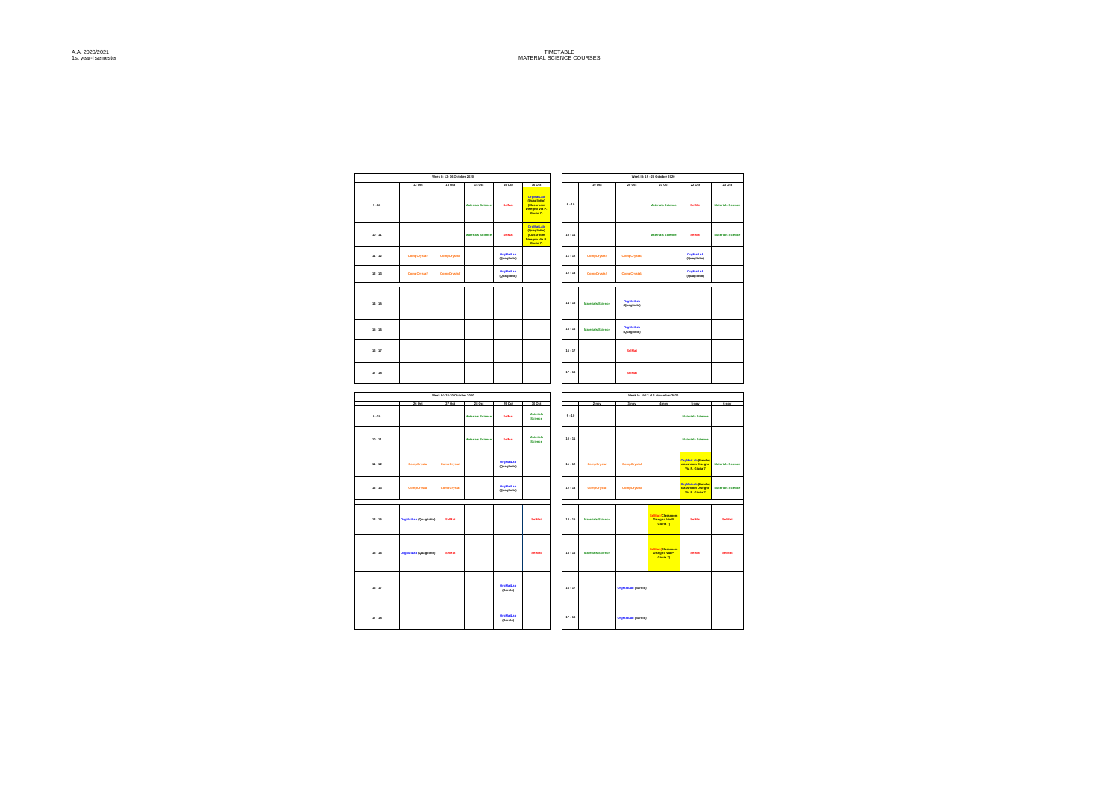|           |                        | Week II: 12-16 October 2020 |                           |                           |                                                                       |           |                          |                           | Week II: 19 - 23 October 2020                   |                                                                 |                          |
|-----------|------------------------|-----------------------------|---------------------------|---------------------------|-----------------------------------------------------------------------|-----------|--------------------------|---------------------------|-------------------------------------------------|-----------------------------------------------------------------|--------------------------|
|           | 12 Oct                 | <b>13 Oct</b>               | 14 Oct                    | 15 Oct                    | 16 Oct                                                                |           | 19 Oct                   | 20 Oct                    | 21 Oct                                          | 22 Oct                                                          | 23 Oct                   |
| $9 - 10$  |                        |                             | <b>Materials Science</b>  | SeiMat                    | OrgMatLab<br>(Quagtono)<br>(Classroom<br>Disegno Via P.<br>Giuria 7)  | $9 - 10$  |                          |                           | <b>Materials Science/</b>                       | <b>SelMat</b>                                                   | <b>Materials Science</b> |
| $10 - 11$ |                        |                             | <b>Materials Sciences</b> | <b>SelMat</b>             | OrgMatLab<br>(Quaglotto)<br>(Classroom<br>Disegno Via P.<br>Giuria 7) | $10 - 11$ |                          |                           | <b>Materials Science/</b>                       | <b>Selling</b>                                                  | <b>Materials Science</b> |
| $11 - 12$ | CompCrystal            | CompCrystal                 |                           | OrgMatLab<br>(Quagliotto) |                                                                       | $11 - 12$ | CompCrystal              | CompCrystal               |                                                 | OrgMatLab<br>(Quagliotto)                                       |                          |
| $12 - 13$ | CompCrystal            | CompCrystal                 |                           | OrgMatLab<br>(Quagliotto) |                                                                       | $12 - 13$ | CompCrystal              | CompCrystal               |                                                 | OrgMatLab<br>(Quagliotto)                                       |                          |
| $14 - 15$ |                        |                             |                           |                           |                                                                       | $14 - 15$ | <b>Materials Science</b> | OrgMatLab<br>(Quagliotto) |                                                 |                                                                 |                          |
| $15 - 16$ |                        |                             |                           |                           |                                                                       | $15 - 16$ | <b>Materials Science</b> | OrgMatLab<br>(Quagliotto) |                                                 |                                                                 |                          |
| $16 - 17$ |                        |                             |                           |                           |                                                                       | $16 - 17$ |                          | SelMan                    |                                                 |                                                                 |                          |
| $17 - 18$ |                        |                             |                           |                           |                                                                       | $17 - 18$ |                          | SelMan                    |                                                 |                                                                 |                          |
|           |                        |                             |                           |                           |                                                                       |           |                          |                           |                                                 |                                                                 |                          |
|           |                        | Week IV: 26-30 October 2020 |                           |                           |                                                                       |           |                          |                           | Week V: dal 2 al 6 November 2020                |                                                                 |                          |
|           | 26 Oct                 | 27 Oct                      | 28 Oct                    | 29 Oct                    | 30 Oct                                                                |           | 2-nov                    | $3 - n \sigma r$          | 4-nov                                           | 5-nov                                                           | 6-nov                    |
| $9 - 10$  |                        |                             | <b>Materials Science</b>  | SelMat                    | <b>Materials</b><br><b>Science</b>                                    | $9 - 10$  |                          |                           |                                                 | <b>Materials Science</b>                                        |                          |
| $10 - 11$ |                        |                             | <b>Materials Science</b>  | <b>Selling</b>            | Materials<br>Science                                                  | $10 - 11$ |                          |                           |                                                 | <b>Materials Science</b>                                        |                          |
| $11 - 12$ | CompCrystal            | CompCrystal                 |                           | OrgMatLab<br>(Quagliotto) |                                                                       | $11 - 12$ | CompCrystal              | CompCrystal               |                                                 | <b>OrgMatLab @arolo</b><br>classroom Disegno<br>Via P. Giuria 7 | <b>Materials Science</b> |
| $12 - 13$ | CompCrystal            | CompCrystal                 |                           | OrgMatLab<br>(Quagliotto) |                                                                       | $12 - 13$ | CompCrystal              | CompCrystal               |                                                 | OrgMatLab (Barolo<br>classroom Disegno<br>Via P. Giuria 7       | <b>Materials Science</b> |
| $14 - 15$ | OrgMatLab (Quagliotto) | SelMat                      |                           |                           | <b>Selling</b>                                                        | $14 - 15$ | <b>Materials Science</b> |                           | Mat (Classroom<br>Disegno Via P.<br>Giuria 7)   | <b>Selling</b>                                                  | <b>SelMan</b>            |
| $15 - 16$ | OrgMatLab (Quagliotto) | SelMat                      |                           |                           | SelMat                                                                | $15 - 16$ | <b>Materials Science</b> |                           | eiMat (Classroon<br>Disegno Via P.<br>Giuria 7) | <b>SelMat</b>                                                   | <b>SelMat</b>            |
| $16 - 17$ |                        |                             |                           | OrgMatLab<br>(Barolo)     |                                                                       | $16 - 17$ |                          | OrgMatLab (Barolo)        |                                                 |                                                                 |                          |
| $17 - 18$ |                        |                             |                           | OrgMatLab<br>(Barolo)     |                                                                       | $17 - 18$ |                          | OrgMatLab (Barolo)        |                                                 |                                                                 |                          |

A.A. 2020/2021 1st year-I semester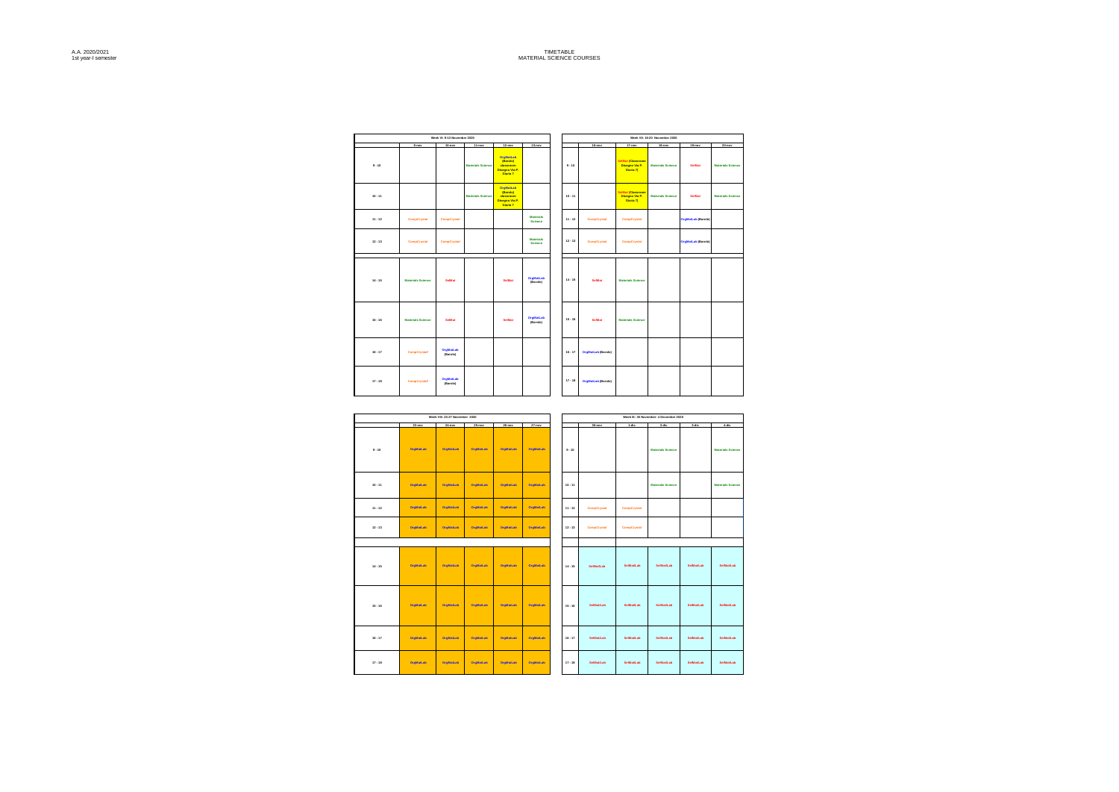|           |                          | Week VI: 9-13 November 2020 |                          |                                                                                |                             | Week VII: 16-20 November 2020 |                           |                                                         |                          |                           |                          |  |  |
|-----------|--------------------------|-----------------------------|--------------------------|--------------------------------------------------------------------------------|-----------------------------|-------------------------------|---------------------------|---------------------------------------------------------|--------------------------|---------------------------|--------------------------|--|--|
|           | $2-00x$                  | 10-nov                      | $11$ -nov                | $12 - nov$                                                                     | $13 - new$                  |                               | 16-now                    | 17-nov                                                  | 18-nov                   | $12 - new$                | $20-new$                 |  |  |
| $9 - 10$  |                          |                             | <b>Materials Science</b> | <b>OrgMatLab</b><br>(Barolo)<br>classroom<br><b>Disegno Via P.</b><br>Ciuria 7 |                             | $9 - 10$                      |                           | <b>SelMat (Classroom</b><br>Diseano Via P.<br>Giuria 71 | <b>Materials Science</b> | <b>SeMat</b>              | <b>Materials Science</b> |  |  |
| $10 - 11$ |                          |                             | <b>Materials Science</b> | OrgMatLab<br>(Barolo)<br>classroom<br><b>Disegno Via P.</b><br>Ciuria 7        |                             | $10 - 11$                     |                           | <b>SelMat (Classroom</b><br>Diseano Via P.<br>Giuria 71 | <b>Materials Science</b> | <b>SelMan</b>             | <b>Materials Science</b> |  |  |
| $11 - 12$ | CompCrystal              | CompCrystal                 |                          |                                                                                | Materials<br><b>Science</b> | $11 - 12$                     | CompCryatal               | CompCrystal                                             |                          | <b>OrgMatLab (Barolo)</b> |                          |  |  |
| $12 - 13$ | CompCrystal              | CompCrystal                 |                          |                                                                                | Materials<br><b>Science</b> | $12 - 13$                     | CompCryatal               | CompCrystal                                             |                          | <b>OrgMatLab (Barolo)</b> |                          |  |  |
| $14 - 15$ | <b>Materials Science</b> | <b>SelMat</b>               |                          | <b>SelMat</b>                                                                  | OrgMatLab<br>(Barolo)       | $14 - 15$                     | <b>SelMat</b>             | <b>Materials Science</b>                                |                          |                           |                          |  |  |
| $15 - 16$ | <b>Materials Science</b> | <b>SelMat</b>               |                          | <b>SelMat</b>                                                                  | OrgMatLab<br>(Barolo)       | $15 - 16$                     | <b>SelMat</b>             | <b>Materials Science</b>                                |                          |                           |                          |  |  |
| $16 - 17$ | CompCrystal/             | OrgMatLab<br>(Barolo)       |                          |                                                                                |                             | $16 - 17$                     | <b>OrgMatLab (Barolo)</b> |                                                         |                          |                           |                          |  |  |
| $17 - 18$ | CompCrystal/             | OrgMatLab<br>(Barolo)       |                          |                                                                                |                             | $17 - 18$                     | OrgMatLab (Barolo)        |                                                         |                          |                           |                          |  |  |

|           |                  | Week VII: 23-27 November 2020 |                  |                  |           |           |             |                     | Week DC: 30 November- 4 December 2020 |           |                          |
|-----------|------------------|-------------------------------|------------------|------------------|-----------|-----------|-------------|---------------------|---------------------------------------|-----------|--------------------------|
|           | $23 - n$ ov      | $24 - n$ ov                   | $25-0$           | 26-nov           | $27-00v$  |           | $30 - nov$  | $1 - 1$             | 2dk                                   | 3-dic     | 4-dic                    |
| $9 - 10$  | OroMatLab        | <b>OroMatLab</b>              | <b>OroMatLab</b> | <b>OrgMatLab</b> | OrgMatLab | $9 - 10$  |             |                     | <b>Materials Science</b>              |           | <b>Materials Science</b> |
| $10 - 11$ | OrgMatLab        | <b>OrgMatLab</b>              | OrgMatLab        | <b>OrgMatLab</b> | OrgMatLab | $10 - 11$ |             |                     | <b>Materials Science</b>              |           | <b>Materials Science</b> |
| $11 - 12$ | OrgMatLab        | <b>OrgMatLab</b>              | OrgMatLab        | <b>OrgMatLab</b> | OrgMatLab | $11 - 12$ | CompCryatal | CompCrystal         |                                       |           |                          |
| $12 - 13$ | <b>OroMatLab</b> | <b>OroMatLab</b>              | <b>OroMatLab</b> | <b>OrgMatLab</b> | OrgMatLab | $12 - 13$ | CompCryatal | CompCrystal         |                                       |           |                          |
|           |                  |                               |                  |                  |           |           |             |                     |                                       |           |                          |
| $14 - 15$ | <b>OroMatLab</b> | <b>OroMatLab</b>              | <b>OroMatLab</b> | <b>OrgMatLab</b> | OrgMatLab | $14 - 15$ | SelMantab   | SelMat/Lab          | SelMat/Lab                            | SelMatLab | SelMastab                |
| $15 - 16$ | <b>OroMatLab</b> | <b>OroMatLab</b>              | <b>OroMatLab</b> | <b>OrgMatLab</b> | OroMatLab | $15 - 16$ | SelManLab   | <b>ReiMarit als</b> | SelMat/Lab                            | SelMatLab | SelMastab                |
| $16 - 17$ | <b>OroMatLab</b> | <b>OroMatLab</b>              | <b>OroMatLab</b> | <b>OrgMatLab</b> | OroMatLab | $16 - 17$ | SelManLab   | <b>SelMat/Lab</b>   | SelMat/Lab                            | SelMasLab | SelMantab                |
| 17.18     | OroMatLab        | OroMatLab                     | <b>OroMatLab</b> | <b>OrgMatLab</b> | OroMatLab | 17.18     | SelManLab   | <b>SelMat/Lab</b>   | SelManLab                             | SelMasLab | SelMantab                |